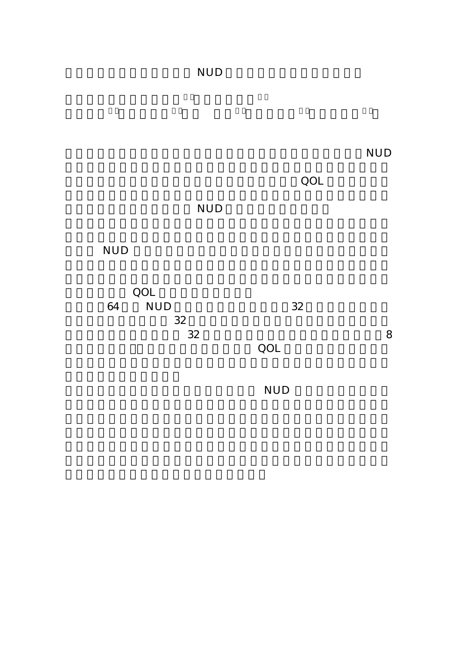## NUD

 $\mathbf{NUD}$ 

 $\rm QOL$ 

## **NUD**

## $\rm NUD$

**QOL**  $\overline{Q}$ 64 NUD 32  $32$  $32$  8  $\rm QOL$ 

 $NUD$